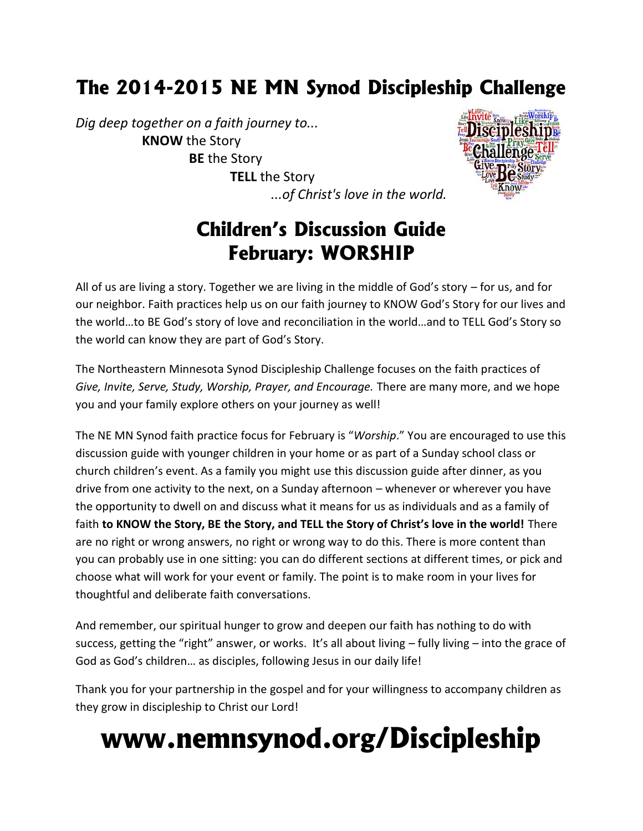# **The 2014-2015 NE MN Synod Discipleship Challenge**

*Dig deep together on a faith journey to...* **KNOW** the Story **BE** the Story **TELL** the Story *...of Christ's love in the world.*



## **Children's Discussion Guide February: WORSHIP**

All of us are living a story. Together we are living in the middle of God's story – for us, and for our neighbor. Faith practices help us on our faith journey to KNOW God's Story for our lives and the world…to BE God's story of love and reconciliation in the world…and to TELL God's Story so the world can know they are part of God's Story.

The Northeastern Minnesota Synod Discipleship Challenge focuses on the faith practices of *Give, Invite, Serve, Study, Worship, Prayer, and Encourage.* There are many more, and we hope you and your family explore others on your journey as well!

The NE MN Synod faith practice focus for February is "*Worship*." You are encouraged to use this discussion guide with younger children in your home or as part of a Sunday school class or church children's event. As a family you might use this discussion guide after dinner, as you drive from one activity to the next, on a Sunday afternoon – whenever or wherever you have the opportunity to dwell on and discuss what it means for us as individuals and as a family of faith **to KNOW the Story, BE the Story, and TELL the Story of Christ's love in the world!** There are no right or wrong answers, no right or wrong way to do this. There is more content than you can probably use in one sitting: you can do different sections at different times, or pick and choose what will work for your event or family. The point is to make room in your lives for thoughtful and deliberate faith conversations.

And remember, our spiritual hunger to grow and deepen our faith has nothing to do with success, getting the "right" answer, or works. It's all about living – fully living – into the grace of God as God's children… as disciples, following Jesus in our daily life!

Thank you for your partnership in the gospel and for your willingness to accompany children as they grow in discipleship to Christ our Lord!

# **www.nemnsynod.org/Discipleship**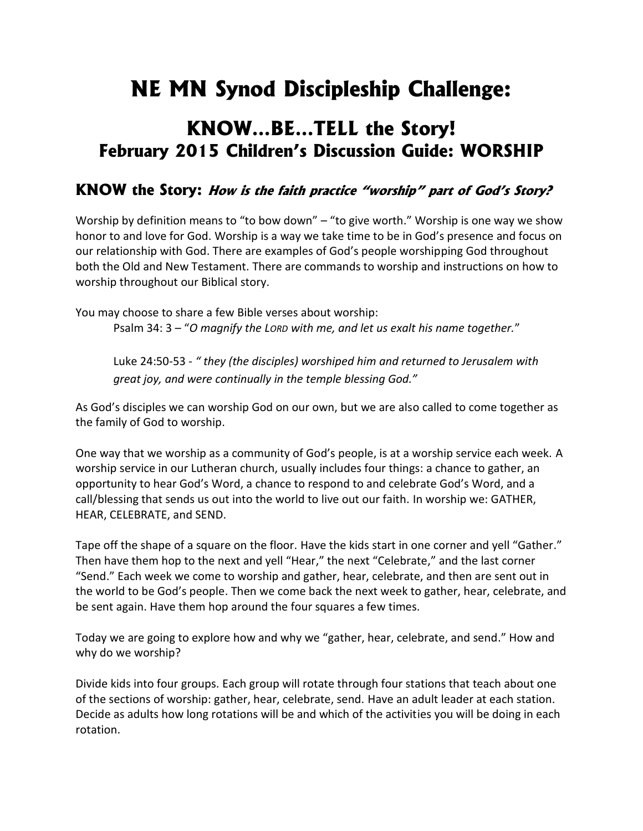# **NE MN Synod Discipleship Challenge:**

## **KNOW…BE…TELL the Story! February 2015 Children's Discussion Guide: WORSHIP**

### **KNOW the Story:** *How is the faith practice "worship" part of God's Story?*

Worship by definition means to "to bow down" – "to give worth." Worship is one way we show honor to and love for God. Worship is a way we take time to be in God's presence and focus on our relationship with God. There are examples of God's people worshipping God throughout both the Old and New Testament. There are commands to worship and instructions on how to worship throughout our Biblical story.

You may choose to share a few Bible verses about worship: Psalm 34: 3 – "O magnify the Lorp with me, and let us exalt his name together."

Luke 24:50-53 - *" they (the disciples) worshiped him and returned to Jerusalem with great joy, and were continually in the temple blessing God."*

As God's disciples we can worship God on our own, but we are also called to come together as the family of God to worship.

One way that we worship as a community of God's people, is at a worship service each week. A worship service in our Lutheran church, usually includes four things: a chance to gather, an opportunity to hear God's Word, a chance to respond to and celebrate God's Word, and a call/blessing that sends us out into the world to live out our faith. In worship we: GATHER, HEAR, CELEBRATE, and SEND.

Tape off the shape of a square on the floor. Have the kids start in one corner and yell "Gather." Then have them hop to the next and yell "Hear," the next "Celebrate," and the last corner "Send." Each week we come to worship and gather, hear, celebrate, and then are sent out in the world to be God's people. Then we come back the next week to gather, hear, celebrate, and be sent again. Have them hop around the four squares a few times.

Today we are going to explore how and why we "gather, hear, celebrate, and send." How and why do we worship?

Divide kids into four groups. Each group will rotate through four stations that teach about one of the sections of worship: gather, hear, celebrate, send. Have an adult leader at each station. Decide as adults how long rotations will be and which of the activities you will be doing in each rotation.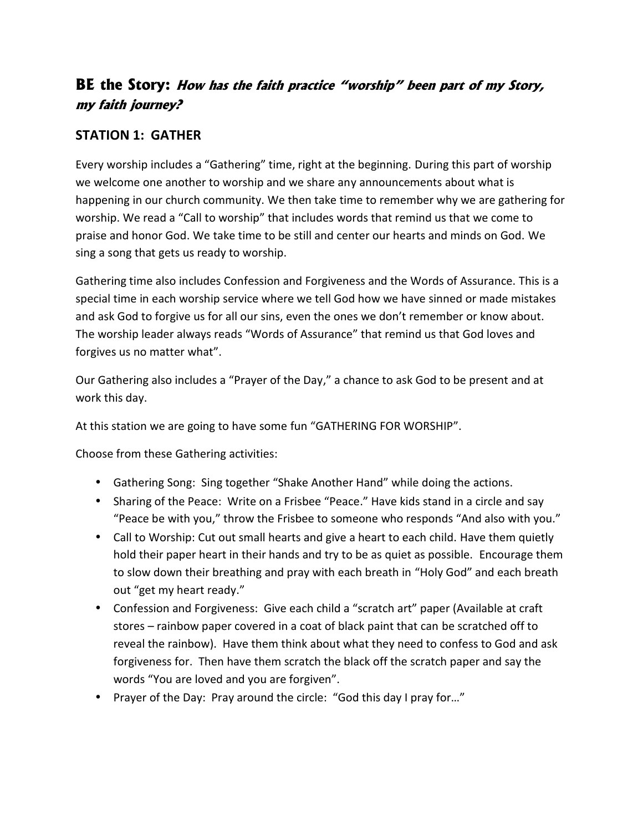## **BE the Story:** *How has the faith practice "worship" been part of my Story, my faith journey?*

#### **STATION 1: GATHER**

Every worship includes a "Gathering" time, right at the beginning. During this part of worship we welcome one another to worship and we share any announcements about what is happening in our church community. We then take time to remember why we are gathering for worship. We read a "Call to worship" that includes words that remind us that we come to praise and honor God. We take time to be still and center our hearts and minds on God. We sing a song that gets us ready to worship.

Gathering time also includes Confession and Forgiveness and the Words of Assurance. This is a special time in each worship service where we tell God how we have sinned or made mistakes and ask God to forgive us for all our sins, even the ones we don't remember or know about. The worship leader always reads "Words of Assurance" that remind us that God loves and forgives us no matter what".

Our Gathering also includes a "Prayer of the Day," a chance to ask God to be present and at work this day.

At this station we are going to have some fun "GATHERING FOR WORSHIP".

Choose from these Gathering activities:

- Gathering Song: Sing together "Shake Another Hand" while doing the actions.
- Sharing of the Peace: Write on a Frisbee "Peace." Have kids stand in a circle and say "Peace be with you," throw the Frisbee to someone who responds "And also with you."
- Call to Worship: Cut out small hearts and give a heart to each child. Have them quietly hold their paper heart in their hands and try to be as quiet as possible. Encourage them to slow down their breathing and pray with each breath in "Holy God" and each breath out "get my heart ready."
- Confession and Forgiveness: Give each child a "scratch art" paper (Available at craft stores – rainbow paper covered in a coat of black paint that can be scratched off to reveal the rainbow). Have them think about what they need to confess to God and ask forgiveness for. Then have them scratch the black off the scratch paper and say the words "You are loved and you are forgiven".
- Prayer of the Day: Pray around the circle: "God this day I pray for..."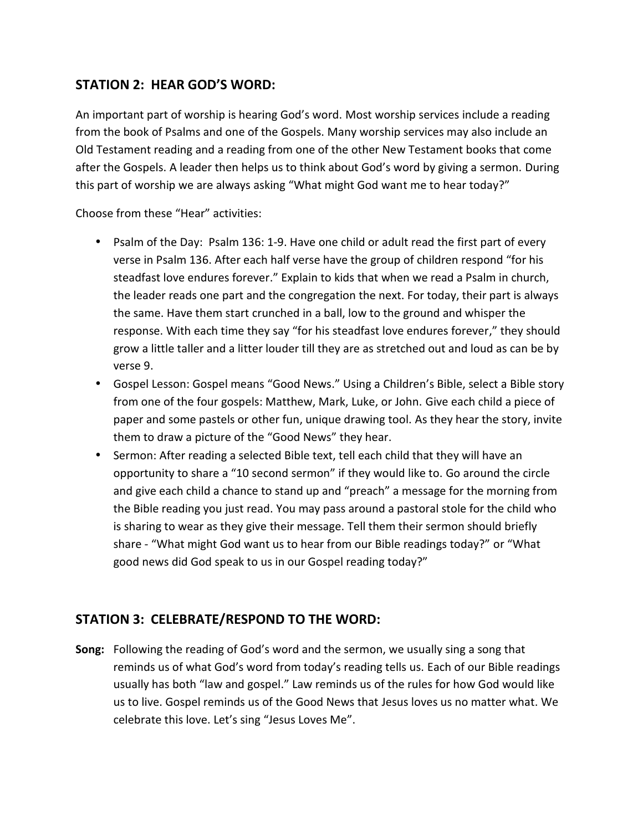#### **STATION 2: HEAR GOD'S WORD:**

An important part of worship is hearing God's word. Most worship services include a reading from the book of Psalms and one of the Gospels. Many worship services may also include an Old Testament reading and a reading from one of the other New Testament books that come after the Gospels. A leader then helps us to think about God's word by giving a sermon. During this part of worship we are always asking "What might God want me to hear today?"

Choose from these "Hear" activities:

- Psalm of the Day: Psalm 136: 1-9. Have one child or adult read the first part of every verse in Psalm 136. After each half verse have the group of children respond "for his steadfast love endures forever." Explain to kids that when we read a Psalm in church, the leader reads one part and the congregation the next. For today, their part is always the same. Have them start crunched in a ball, low to the ground and whisper the response. With each time they say "for his steadfast love endures forever," they should grow a little taller and a litter louder till they are as stretched out and loud as can be by verse 9.
- Gospel Lesson: Gospel means "Good News." Using a Children's Bible, select a Bible story from one of the four gospels: Matthew, Mark, Luke, or John. Give each child a piece of paper and some pastels or other fun, unique drawing tool. As they hear the story, invite them to draw a picture of the "Good News" they hear.
- Sermon: After reading a selected Bible text, tell each child that they will have an opportunity to share a "10 second sermon" if they would like to. Go around the circle and give each child a chance to stand up and "preach" a message for the morning from the Bible reading you just read. You may pass around a pastoral stole for the child who is sharing to wear as they give their message. Tell them their sermon should briefly share - "What might God want us to hear from our Bible readings today?" or "What good news did God speak to us in our Gospel reading today?"

#### **STATION 3: CELEBRATE/RESPOND TO THE WORD:**

**Song:** Following the reading of God's word and the sermon, we usually sing a song that reminds us of what God's word from today's reading tells us. Each of our Bible readings usually has both "law and gospel." Law reminds us of the rules for how God would like us to live. Gospel reminds us of the Good News that Jesus loves us no matter what. We celebrate this love. Let's sing "Jesus Loves Me".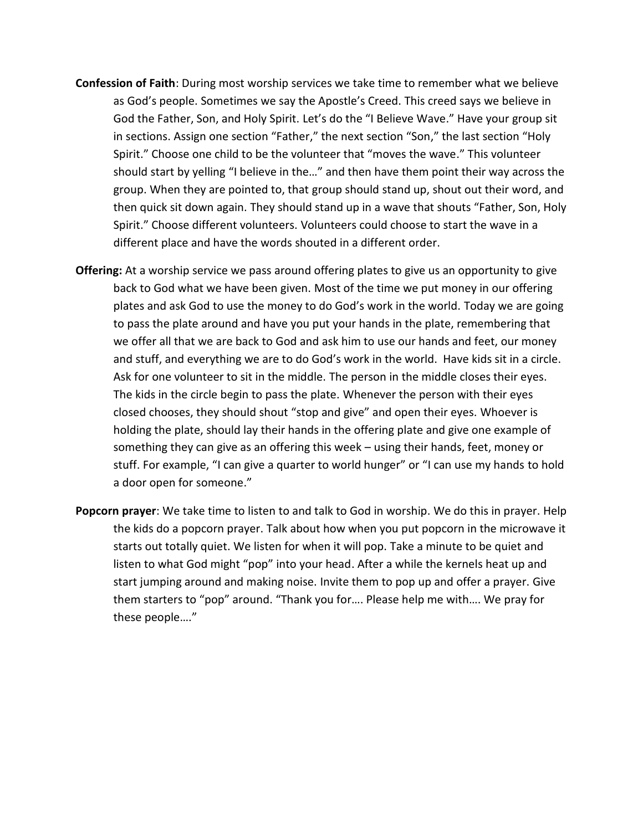- **Confession of Faith**: During most worship services we take time to remember what we believe as God's people. Sometimes we say the Apostle's Creed. This creed says we believe in God the Father, Son, and Holy Spirit. Let's do the "I Believe Wave." Have your group sit in sections. Assign one section "Father," the next section "Son," the last section "Holy Spirit." Choose one child to be the volunteer that "moves the wave." This volunteer should start by yelling "I believe in the…" and then have them point their way across the group. When they are pointed to, that group should stand up, shout out their word, and then quick sit down again. They should stand up in a wave that shouts "Father, Son, Holy Spirit." Choose different volunteers. Volunteers could choose to start the wave in a different place and have the words shouted in a different order.
- **Offering:** At a worship service we pass around offering plates to give us an opportunity to give back to God what we have been given. Most of the time we put money in our offering plates and ask God to use the money to do God's work in the world. Today we are going to pass the plate around and have you put your hands in the plate, remembering that we offer all that we are back to God and ask him to use our hands and feet, our money and stuff, and everything we are to do God's work in the world. Have kids sit in a circle. Ask for one volunteer to sit in the middle. The person in the middle closes their eyes. The kids in the circle begin to pass the plate. Whenever the person with their eyes closed chooses, they should shout "stop and give" and open their eyes. Whoever is holding the plate, should lay their hands in the offering plate and give one example of something they can give as an offering this week – using their hands, feet, money or stuff. For example, "I can give a quarter to world hunger" or "I can use my hands to hold a door open for someone."
- **Popcorn prayer**: We take time to listen to and talk to God in worship. We do this in prayer. Help the kids do a popcorn prayer. Talk about how when you put popcorn in the microwave it starts out totally quiet. We listen for when it will pop. Take a minute to be quiet and listen to what God might "pop" into your head. After a while the kernels heat up and start jumping around and making noise. Invite them to pop up and offer a prayer. Give them starters to "pop" around. "Thank you for…. Please help me with…. We pray for these people…."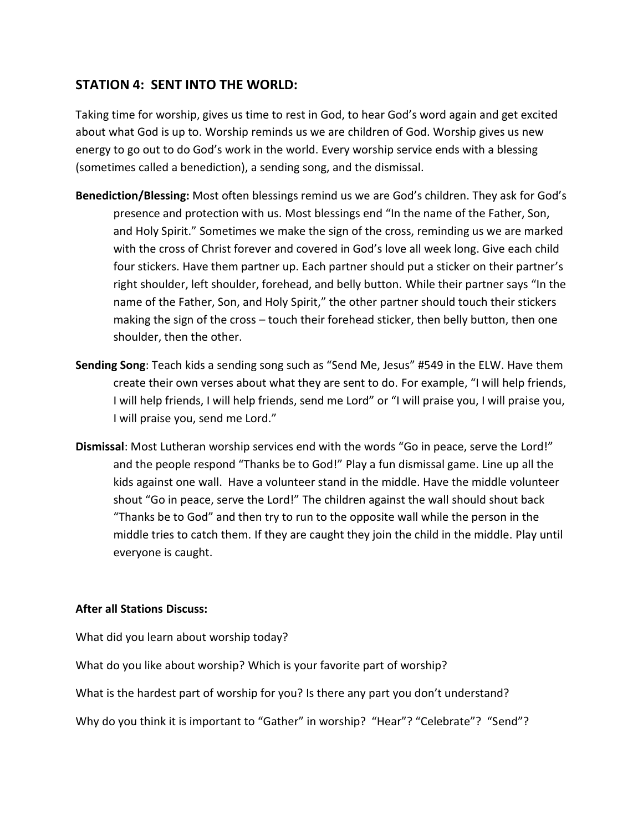#### **STATION 4: SENT INTO THE WORLD:**

Taking time for worship, gives us time to rest in God, to hear God's word again and get excited about what God is up to. Worship reminds us we are children of God. Worship gives us new energy to go out to do God's work in the world. Every worship service ends with a blessing (sometimes called a benediction), a sending song, and the dismissal.

- **Benediction/Blessing:** Most often blessings remind us we are God's children. They ask for God's presence and protection with us. Most blessings end "In the name of the Father, Son, and Holy Spirit." Sometimes we make the sign of the cross, reminding us we are marked with the cross of Christ forever and covered in God's love all week long. Give each child four stickers. Have them partner up. Each partner should put a sticker on their partner's right shoulder, left shoulder, forehead, and belly button. While their partner says "In the name of the Father, Son, and Holy Spirit," the other partner should touch their stickers making the sign of the cross – touch their forehead sticker, then belly button, then one shoulder, then the other.
- **Sending Song**: Teach kids a sending song such as "Send Me, Jesus" #549 in the ELW. Have them create their own verses about what they are sent to do. For example, "I will help friends, I will help friends, I will help friends, send me Lord" or "I will praise you, I will praise you, I will praise you, send me Lord."
- **Dismissal**: Most Lutheran worship services end with the words "Go in peace, serve the Lord!" and the people respond "Thanks be to God!" Play a fun dismissal game. Line up all the kids against one wall. Have a volunteer stand in the middle. Have the middle volunteer shout "Go in peace, serve the Lord!" The children against the wall should shout back "Thanks be to God" and then try to run to the opposite wall while the person in the middle tries to catch them. If they are caught they join the child in the middle. Play until everyone is caught.

#### **After all Stations Discuss:**

What did you learn about worship today?

What do you like about worship? Which is your favorite part of worship?

What is the hardest part of worship for you? Is there any part you don't understand?

Why do you think it is important to "Gather" in worship? "Hear"? "Celebrate"? "Send"?